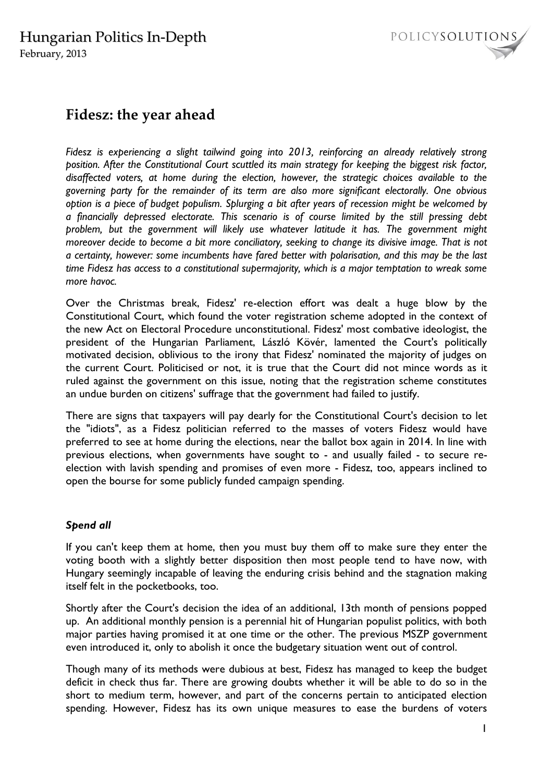

### **Fidesz: the year ahead**

*Fidesz is experiencing a slight tailwind going into 2013, reinforcing an already relatively strong position. After the Constitutional Court scuttled its main strategy for keeping the biggest risk factor, disaffected voters, at home during the election, however, the strategic choices available to the governing party for the remainder of its term are also more significant electorally. One obvious option is a piece of budget populism. Splurging a bit after years of recession might be welcomed by a financially depressed electorate. This scenario is of course limited by the still pressing debt problem, but the government will likely use whatever latitude it has. The government might moreover decide to become a bit more conciliatory, seeking to change its divisive image. That is not a certainty, however: some incumbents have fared better with polarisation, and this may be the last time Fidesz has access to a constitutional supermajority, which is a major temptation to wreak some more havoc.* 

Over the Christmas break, Fidesz' re-election effort was dealt a huge blow by the Constitutional Court, which found the voter registration scheme adopted in the context of the new Act on Electoral Procedure unconstitutional. Fidesz' most combative ideologist, the president of the Hungarian Parliament, László Kövér, lamented the Court's politically motivated decision, oblivious to the irony that Fidesz' nominated the majority of judges on the current Court. Politicised or not, it is true that the Court did not mince words as it ruled against the government on this issue, noting that the registration scheme constitutes an undue burden on citizens' suffrage that the government had failed to justify.

There are signs that taxpayers will pay dearly for the Constitutional Court's decision to let the "idiots", as a Fidesz politician referred to the masses of voters Fidesz would have preferred to see at home during the elections, near the ballot box again in 2014. In line with previous elections, when governments have sought to - and usually failed - to secure reelection with lavish spending and promises of even more - Fidesz, too, appears inclined to open the bourse for some publicly funded campaign spending.

### *Spend all*

If you can't keep them at home, then you must buy them off to make sure they enter the voting booth with a slightly better disposition then most people tend to have now, with Hungary seemingly incapable of leaving the enduring crisis behind and the stagnation making itself felt in the pocketbooks, too.

Shortly after the Court's decision the idea of an additional, 13th month of pensions popped up. An additional monthly pension is a perennial hit of Hungarian populist politics, with both major parties having promised it at one time or the other. The previous MSZP government even introduced it, only to abolish it once the budgetary situation went out of control.

Though many of its methods were dubious at best, Fidesz has managed to keep the budget deficit in check thus far. There are growing doubts whether it will be able to do so in the short to medium term, however, and part of the concerns pertain to anticipated election spending. However, Fidesz has its own unique measures to ease the burdens of voters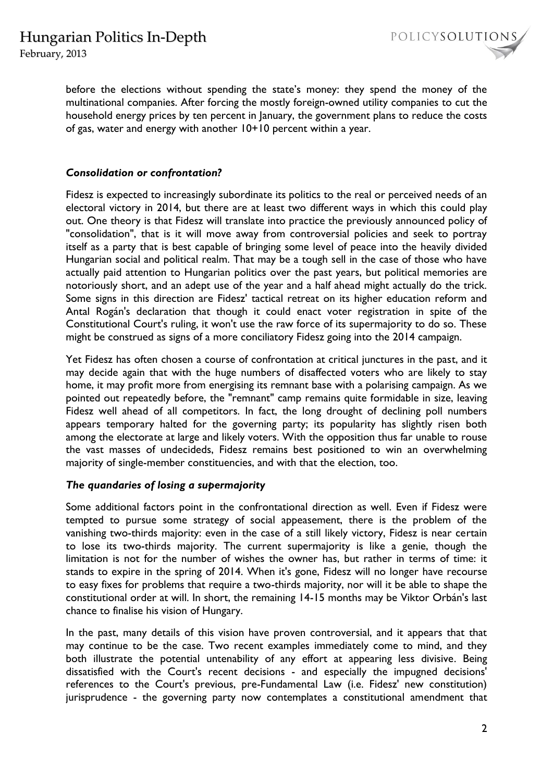## Hungarian Politics In-Depth

February, 2013

before the elections without spending the state's money: they spend the money of the multinational companies. After forcing the mostly foreign-owned utility companies to cut the household energy prices by ten percent in January, the government plans to reduce the costs of gas, water and energy with another 10+10 percent within a year.

#### *Consolidation or confrontation?*

Fidesz is expected to increasingly subordinate its politics to the real or perceived needs of an electoral victory in 2014, but there are at least two different ways in which this could play out. One theory is that Fidesz will translate into practice the previously announced policy of "consolidation", that is it will move away from controversial policies and seek to portray itself as a party that is best capable of bringing some level of peace into the heavily divided Hungarian social and political realm. That may be a tough sell in the case of those who have actually paid attention to Hungarian politics over the past years, but political memories are notoriously short, and an adept use of the year and a half ahead might actually do the trick. Some signs in this direction are Fidesz' tactical retreat on its higher education reform and Antal Rogán's declaration that though it could enact voter registration in spite of the Constitutional Court's ruling, it won't use the raw force of its supermajority to do so. These might be construed as signs of a more conciliatory Fidesz going into the 2014 campaign.

Yet Fidesz has often chosen a course of confrontation at critical junctures in the past, and it may decide again that with the huge numbers of disaffected voters who are likely to stay home, it may profit more from energising its remnant base with a polarising campaign. As we pointed out repeatedly before, the "remnant" camp remains quite formidable in size, leaving Fidesz well ahead of all competitors. In fact, the long drought of declining poll numbers appears temporary halted for the governing party; its popularity has slightly risen both among the electorate at large and likely voters. With the opposition thus far unable to rouse the vast masses of undecideds, Fidesz remains best positioned to win an overwhelming majority of single-member constituencies, and with that the election, too.

#### *The quandaries of losing a supermajority*

Some additional factors point in the confrontational direction as well. Even if Fidesz were tempted to pursue some strategy of social appeasement, there is the problem of the vanishing two-thirds majority: even in the case of a still likely victory, Fidesz is near certain to lose its two-thirds majority. The current supermajority is like a genie, though the limitation is not for the number of wishes the owner has, but rather in terms of time: it stands to expire in the spring of 2014. When it's gone, Fidesz will no longer have recourse to easy fixes for problems that require a two-thirds majority, nor will it be able to shape the constitutional order at will. In short, the remaining 14-15 months may be Viktor Orbán's last chance to finalise his vision of Hungary.

In the past, many details of this vision have proven controversial, and it appears that that may continue to be the case. Two recent examples immediately come to mind, and they both illustrate the potential untenability of any effort at appearing less divisive. Being dissatisfied with the Court's recent decisions - and especially the impugned decisions' references to the Court's previous, pre-Fundamental Law (i.e. Fidesz' new constitution) jurisprudence - the governing party now contemplates a constitutional amendment that

POLICYSOLUTIONS